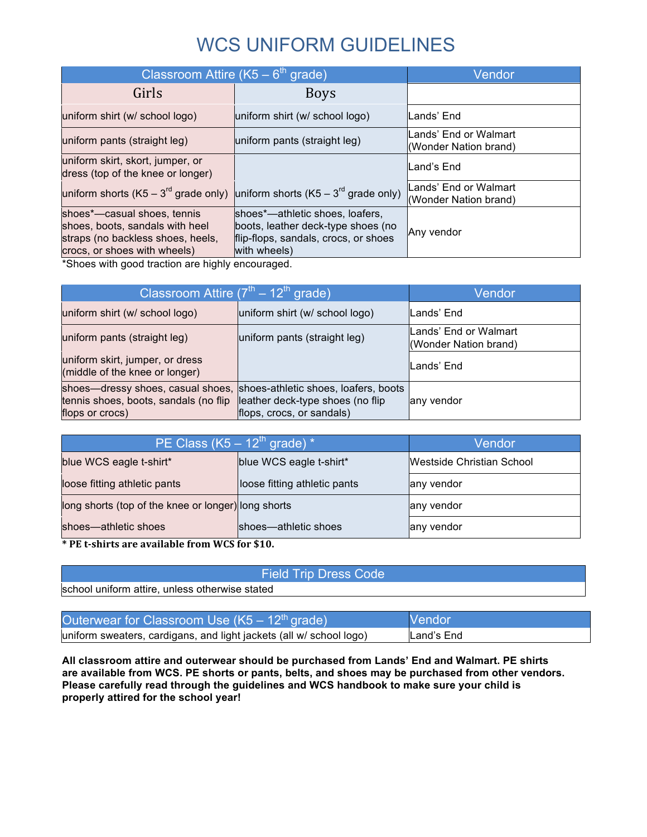# WCS UNIFORM GUIDELINES

| Classroom Attire (K5 – 6 <sup>th</sup> grade)                                                                                       |                                                                                                                               | Vendor                                         |
|-------------------------------------------------------------------------------------------------------------------------------------|-------------------------------------------------------------------------------------------------------------------------------|------------------------------------------------|
| Girls                                                                                                                               | <b>Boys</b>                                                                                                                   |                                                |
| uniform shirt (w/ school logo)                                                                                                      | uniform shirt (w/ school logo)                                                                                                | lLands' End                                    |
| uniform pants (straight leg)                                                                                                        | uniform pants (straight leg)                                                                                                  | Lands' End or Walmart<br>(Wonder Nation brand) |
| uniform skirt, skort, jumper, or<br>dress (top of the knee or longer)                                                               |                                                                                                                               | Land's End                                     |
| uniform shorts (K5 – 3 <sup>rd</sup> grade only) uniform shorts (K5 – 3 <sup>rd</sup> grade only)                                   |                                                                                                                               | Lands' End or Walmart<br>(Wonder Nation brand) |
| shoes*—casual shoes, tennis<br>shoes, boots, sandals with heel<br>straps (no backless shoes, heels,<br>crocs, or shoes with wheels) | shoes*—athletic shoes, loafers,<br>boots, leather deck-type shoes (no<br>flip-flops, sandals, crocs, or shoes<br>with wheels) | Any vendor                                     |

\*Shoes with good traction are highly encouraged.

| Classroom Attire $(7^{\text{th}} - 12^{\text{th}})$ grade)                                    |                                                                                                       | Vendor                                         |
|-----------------------------------------------------------------------------------------------|-------------------------------------------------------------------------------------------------------|------------------------------------------------|
| uniform shirt (w/ school logo)                                                                | uniform shirt (w/ school logo)                                                                        | Lands' End                                     |
| uniform pants (straight leg)                                                                  | uniform pants (straight leg)                                                                          | Lands' End or Walmart<br>(Wonder Nation brand) |
| uniform skirt, jumper, or dress<br>(middle of the knee or longer)                             |                                                                                                       | Lands' End                                     |
| shoes-dressy shoes, casual shoes,<br>tennis shoes, boots, sandals (no flip<br>flops or crocs) | shoes-athletic shoes, loafers, boots<br>leather deck-type shoes (no flip<br>flops, crocs, or sandals) | any vendor                                     |

| PE Class $(K5 - 12th$ grade) *                      |                              | Vendor                    |
|-----------------------------------------------------|------------------------------|---------------------------|
| blue WCS eagle t-shirt*                             | blue WCS eagle t-shirt*      | Westside Christian School |
| loose fitting athletic pants                        | loose fitting athletic pants | any vendor                |
| long shorts (top of the knee or longer) long shorts |                              | any vendor                |
| shoes-athletic shoes                                | shoes—athletic shoes         | any vendor                |

**\* PE t-shirts are available from WCS for \$10.**

|  | <b>Field Trip Dress Code</b> |  |
|--|------------------------------|--|
|  |                              |  |
|  |                              |  |

school uniform attire, unless otherwise stated

| Outerwear for Classroom Use ( $K5 - 12th$ grade)                    | <b>Vendor</b> |
|---------------------------------------------------------------------|---------------|
| uniform sweaters, cardigans, and light jackets (all w/ school logo) | Land's End    |

**All classroom attire and outerwear should be purchased from Lands' End and Walmart. PE shirts are available from WCS. PE shorts or pants, belts, and shoes may be purchased from other vendors. Please carefully read through the guidelines and WCS handbook to make sure your child is properly attired for the school year!**